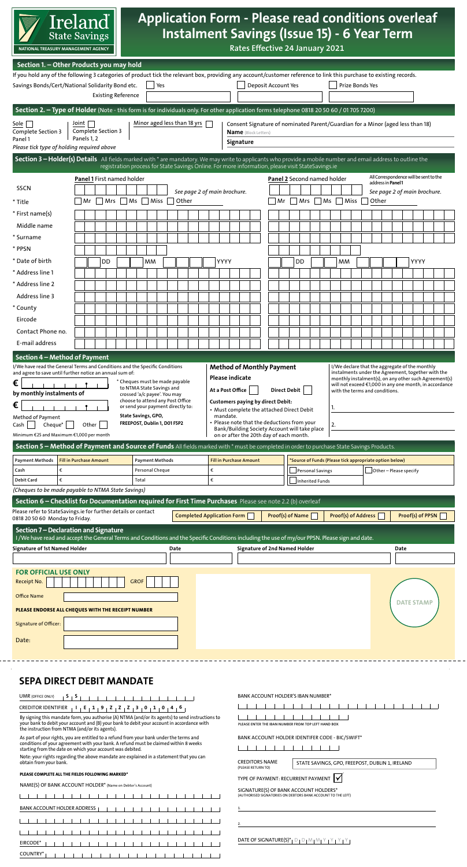

#### Application Form - Please read conditions overleaf Instalment Savings (Issue 15) - 6 Year Term an individual aged less than 18 years, but only with the  $\overline{\mathbf{a}}$  $\overline{\mathsf{d}}$  $\overline{\phantom{a}}$  $\overline{\phantom{0}}$  $\overline{a}$  $\overline{\phantom{a}}$ ا<br>ا .<br>C .<br>af  $\overline{\phantom{0}}$  $\overline{\phantom{a}}$  $\overline{\phantom{a}}$  $\overline{\mathbf{c}}$ Installation **Application Form - Please read conditions**  2.5% **0.83%** 3 year **Savings Bonds**2 **0.83%** 2.5% 4% **0.99%** 4 year **National Solidarity Bonds**2 **0.99%** 4% 7% **1.24%** 5½ year **Savings Certificates**2 **1.24%** 7% 7% **1.24%** 6 year **Instalment Savings**2,3 (ALSO FOR CHILD BENEFIT) **1.24%** 7% 25% **2.26%** 10 year **National Solidarity Bonds**2 **2.26%** 25% *AER = "Annual Equivalent Rate". Net AER will change if DIRT changes.* 2 *Not subject to tax in Ireland but please see Condition 4 Taxation in Specific Conditions.*  3 *Save in 12 monthly instalments (Max. €1,000 per month) and leave for 5 years. AER calculation assumes a 5½ year average life.* 4 *Subject to DIRT (Deposit Interest Retention Tax) at the prevailing rate currently 41%.* 5 *Prize Bonds – rate used to calculate prize fund is 1.25%. There are six €1 million prizes per annum and thousands of weekly prizes. No interest is paid to bond holders. Instead the interest is paid into the monthly prize fund, to be distributed to winners in the weekly draw.*  6 *Variable Rate means that the interest rate paid on this Product may be changed by the NTMA from time to time. Such changes will be notified by at least one of the following methods: direct notification to you by post, publication in a national newspaper, publication on www.StateSavings.ie or notification by any other means.* **State Savings products are subject to Terms For more information on NTMA State Savings and Conditions and relevant legislation. Telephone: 1850 30 50 60 / +353 1 705 7200 SMS Text: 0852 30 50 60 E-mail: Service@StateSavings.ie Visit: Any Post Office Mail to: See our range of NTMA State Savings Brochures:**  1. A Guide to NTMA State Savings .<br>n .<br>d .<br>P .<br>Ei .<br>O

| Ireland<br><b>State Savings</b><br>NATIONAL TREASURY MANAGEMENT AGENCY                                                                                                                                                                                                                                                                                                                                                                                                                                                                                                                                        |                                                                                                                                                                                                                             | <b>Application Form - Please read conditions overleaf</b><br><b>Instalment Savings (Issue 15) - 6 Year Term</b><br>Rates Effective 24 January 2021                                                                                                                                                                                                                                                                                                                                                                                 |
|---------------------------------------------------------------------------------------------------------------------------------------------------------------------------------------------------------------------------------------------------------------------------------------------------------------------------------------------------------------------------------------------------------------------------------------------------------------------------------------------------------------------------------------------------------------------------------------------------------------|-----------------------------------------------------------------------------------------------------------------------------------------------------------------------------------------------------------------------------|------------------------------------------------------------------------------------------------------------------------------------------------------------------------------------------------------------------------------------------------------------------------------------------------------------------------------------------------------------------------------------------------------------------------------------------------------------------------------------------------------------------------------------|
| Section 1. - Other Products you may hold<br>Savings Bonds/Cert/National Solidarity Bond etc.                                                                                                                                                                                                                                                                                                                                                                                                                                                                                                                  | Yes<br><b>Existing Reference</b>                                                                                                                                                                                            | If you hold any of the following 3 categories of product tick the relevant box, providing any account/customer reference to link this purchase to existing records.<br>Deposit Account Yes<br>Prize Bonds Yes                                                                                                                                                                                                                                                                                                                      |
| Joint $ $<br>Sole    <br>Complete Section 3<br>Complete Section 3<br>Panels 1, 2<br>Panel 1<br>Please tick type of holding required above                                                                                                                                                                                                                                                                                                                                                                                                                                                                     | Minor aged less than 18 yrs                                                                                                                                                                                                 | Section 2. - Type of Holder (Note - this form is for individuals only. For other application forms telephone 0818 20 50 60 / 01 705 7200)<br>Consent Signature of nominated Parent/Guardian for a Minor (aged less than 18)<br><b>Name</b> (Block Letters)<br>Signature                                                                                                                                                                                                                                                            |
| <b>Panel 1 First named holder</b><br><b>SSCN</b><br>Mrs<br>Mr<br>* Title                                                                                                                                                                                                                                                                                                                                                                                                                                                                                                                                      | $\overline{\mathsf{M}}$ s<br>Miss<br>Other                                                                                                                                                                                  | Section 3 - Holder(s) Details All fields marked with * are mandatory. We may write to applicants who provide a mobile number and email address to outline the<br>registration process for State Savings Online. For more information, please visit StateSavings.ie<br>All Correspondence will be sent to the<br>Panel 2 Second named holder<br>address in Panel 1<br>See page 2 of main brochure.<br>See page 2 of main brochure.<br>$Mrs$ $Ms$ $Miss$<br>Mr<br>Other                                                              |
| * First name(s)<br>Middle name<br>* Surname<br>* PPSN<br>* Date of birth<br>DD                                                                                                                                                                                                                                                                                                                                                                                                                                                                                                                                | MМ                                                                                                                                                                                                                          | YYYY<br>YYYY<br>DD<br>мм                                                                                                                                                                                                                                                                                                                                                                                                                                                                                                           |
| * Address line 1<br>* Address line 2<br>Address line 3<br>* County<br>Eircode<br>Contact Phone no.<br>E-mail address                                                                                                                                                                                                                                                                                                                                                                                                                                                                                          |                                                                                                                                                                                                                             |                                                                                                                                                                                                                                                                                                                                                                                                                                                                                                                                    |
| Section 4 - Method of Payment<br>I/We have read the General Terms and Conditions and the Specific Conditions<br>and agree to save until further notice an annual sum of:<br>€<br>by monthly instalments of<br>€<br>Method of Payment                                                                                                                                                                                                                                                                                                                                                                          | * Cheques must be made payable<br>to NTMA State Savings and<br>crossed 'a/c payee'. You may<br>choose to attend any Post Office<br>or send your payment directly to:<br>State Savings, GPO,<br>FREEPOST, Dublin 1, D01 F5P2 | <b>Method of Monthly Payment</b><br>I/We declare that the aggregate of the monthly<br>instalments under the Agreement, together with the<br><b>Please indicate</b><br>monthly instalment(s), on any other such Agreement(s)<br>will not exceed €1,000 in any one month, in accordance<br>At a Post Office<br><b>Direct Debit</b><br>with the terms and conditions.<br><b>Customers paying by direct Debit:</b><br>1.<br>• Must complete the attached Direct Debit<br>mandate.<br>• Please note that the deductions from your<br>2. |
| Cheque*<br>Other<br>Cash<br>Minimum €25 and Maximum €1,000 per month<br><b>Payment Methods</b><br><b>Fill in Purchase Amount</b><br>Cash<br>€<br>€<br>Debit Card<br>(Cheques to be made payable to NTMA State Savings)                                                                                                                                                                                                                                                                                                                                                                                        | <b>Payment Methods</b><br>Personal Cheque<br>Total                                                                                                                                                                          | Bank/Building Society Account will take place<br>on or after the 20th day of each month.<br>Section 5 - Method of Payment and Source of Funds All fields marked with * must be completed in order to purchase State Savings Products.<br><b>Fill in Purchase Amount</b><br>'Source of Funds (Please tick appropriate option below)<br>€<br>$\Box$ Other – Please specify<br>Personal Savings<br>€<br>Inherited Funds                                                                                                               |
| Please refer to StateSavings.ie for further details or contact<br>0818 20 50 60 Monday to Friday.<br>Section 7 - Declaration and Signature<br><b>Signature of 1st Named Holder</b>                                                                                                                                                                                                                                                                                                                                                                                                                            | Date                                                                                                                                                                                                                        | Section 6 - Checklist for Documentation required for First Time Purchases Please see note 2.2 (b) overleaf<br><b>Completed Application Form</b><br>Proof(s) of Name<br>Proof(s) of Address<br>Proof(s) of PPSN<br>I/We have read and accept the General Terms and Conditions and the Specific Conditions including the use of my/our PPSN. Please sign and date.<br><b>Signature of 2nd Named Holder</b><br>Date                                                                                                                   |
| <b>FOR OFFICIAL USE ONLY</b><br>Receipt No.<br><b>Office Name</b><br>PLEASE ENDORSE ALL CHEQUES WITH THE RECEIPT NUMBER<br>Signature of Officer:<br>Date:                                                                                                                                                                                                                                                                                                                                                                                                                                                     | <b>GROF</b>                                                                                                                                                                                                                 | <b>DATE STAMP</b>                                                                                                                                                                                                                                                                                                                                                                                                                                                                                                                  |
| SEPA DIRECT DEBIT MANDATE<br><b>UMR</b> (OFFICE ONLY)<br>CREDITOR IDENTIFIER $ 1 E 19 22$ $ 2 301$ $ 101$<br>By signing this mandate form, you authorise (A) NTMA (and/or its agents) to send instructions to<br>your bank to debit your account and (B) your bank to debit your account in accordance with<br>the instruction from NTMA (and/or its agents).<br>As part of your rights, you are entitled to a refund from your bank under the terms and<br>conditions of your agreement with your bank. A refund must be claimed within 8 weeks<br>starting from the date on which your account was debited. |                                                                                                                                                                                                                             | BANK ACCOUNT HOLDER'S IBAN NUMBER*<br>.<br>.<br>PLEASE ENTER THE IBAN NUMBER FROM TOP LEFT HAND BOX<br>BANK ACCOUNT HOLDER IDENTIFER CODE - BIC/SWIFT*                                                                                                                                                                                                                                                                                                                                                                             |
| Note: your rights regarding the above mandate are explained in a statement that you can<br>obtain from your bank.<br>PLEASE COMPLETE ALL THE FIELDS FOLLOWING MARKED*<br>NAME(S) OF BANK ACCOUNT HOLDER* (Name on Debtor's Account)<br>.<br>$\sim$<br>BANK ACCOUNT HOLDER ADDRESS                                                                                                                                                                                                                                                                                                                             | .<br>$\sim$ 1                                                                                                                                                                                                               | <b>CREDITORS NAME</b><br>STATE SAVINGS, GPO, FREEPOST, DUBLIN 1, IRELAND<br>(PLEASE RETURN TO)<br>TYPE OF PAYMENT: RECURRENT PAYMENT V<br>SIGNATURE(S) OF BANK ACCOUNT HOLDERS*<br>(AUTHORISED SIGNATORIES ON DEBTORS BANK ACCOUNT TO THE LEFT)<br>1.                                                                                                                                                                                                                                                                              |
| EIRCODE*<br>COUNTRY*                                                                                                                                                                                                                                                                                                                                                                                                                                                                                                                                                                                          |                                                                                                                                                                                                                             | 2.<br>DATE OF SIGNATURE(S)*   D   D   M   M   Y   Y   Y   Y                                                                                                                                                                                                                                                                                                                                                                                                                                                                        |